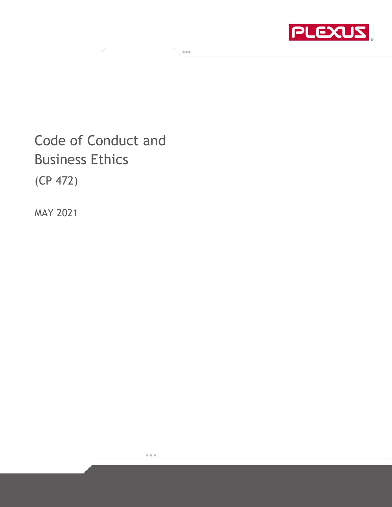

Code of Conduct and Business Ethics

 $\sqrt{100}$ 

(CP 472)

MAY 2021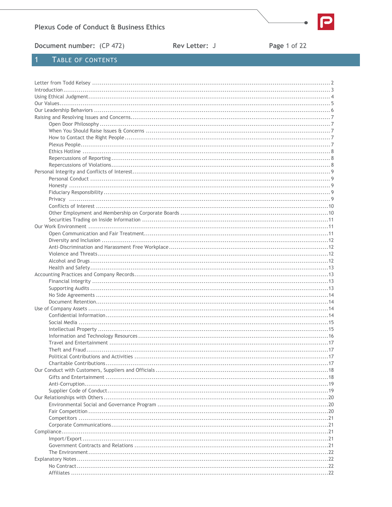

Document number: (CP 472)

Rev Letter: J

Page 1 of 22

# TABLE OF CONTENTS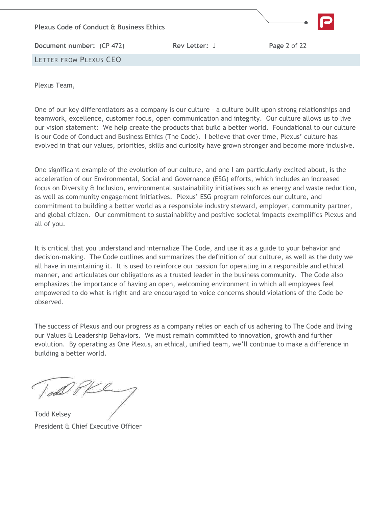

<span id="page-2-0"></span>Plexus Team,

One of our key differentiators as a company is our culture – a culture built upon strong relationships and teamwork, excellence, customer focus, open communication and integrity. Our culture allows us to live our vision statement: We help create the products that build a better world. Foundational to our culture is our Code of Conduct and Business Ethics (The Code). I believe that over time, Plexus' culture has evolved in that our values, priorities, skills and curiosity have grown stronger and become more inclusive.

One significant example of the evolution of our culture, and one I am particularly excited about, is the acceleration of our Environmental, Social and Governance (ESG) efforts, which includes an increased focus on Diversity & Inclusion, environmental sustainability initiatives such as energy and waste reduction, as well as community engagement initiatives. Plexus' ESG program reinforces our culture, and commitment to building a better world as a responsible industry steward, employer, community partner, and global citizen. Our commitment to sustainability and positive societal impacts exemplifies Plexus and all of you.

It is critical that you understand and internalize The Code, and use it as a guide to your behavior and decision-making. The Code outlines and summarizes the definition of our culture, as well as the duty we all have in maintaining it. It is used to reinforce our passion for operating in a responsible and ethical manner, and articulates our obligations as a trusted leader in the business community. The Code also emphasizes the importance of having an open, welcoming environment in which all employees feel empowered to do what is right and are encouraged to voice concerns should violations of the Code be observed.

The success of Plexus and our progress as a company relies on each of us adhering to The Code and living our Values & Leadership Behaviors. We must remain committed to innovation, growth and further evolution. By operating as One Plexus, an ethical, unified team, we'll continue to make a difference in building a better world.

odd t

Todd Kelsey President & Chief Executive Officer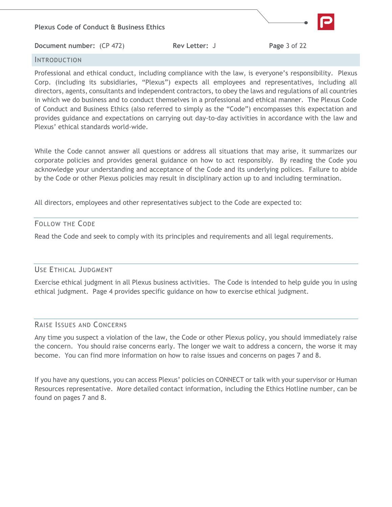

#### <span id="page-3-0"></span>INTRODUCTION

Professional and ethical conduct, including compliance with the law, is everyone's responsibility. Plexus Corp. (including its subsidiaries, "Plexus") expects all employees and representatives, including all directors, agents, consultants and independent contractors, to obey the laws and regulations of all countries in which we do business and to conduct themselves in a professional and ethical manner. The Plexus Code of Conduct and Business Ethics (also referred to simply as the "Code") encompasses this expectation and provides guidance and expectations on carrying out day-to-day activities in accordance with the law and Plexus' ethical standards world-wide.

While the Code cannot answer all questions or address all situations that may arise, it summarizes our corporate policies and provides general guidance on how to act responsibly. By reading the Code you acknowledge your understanding and acceptance of the Code and its underlying polices. Failure to abide by the Code or other Plexus policies may result in disciplinary action up to and including termination.

All directors, employees and other representatives subject to the Code are expected to:

### FOLLOW THE CODE

Read the Code and seek to comply with its principles and requirements and all legal requirements.

### USE ETHICAL JUDGMENT

Exercise ethical judgment in all Plexus business activities. The Code is intended to help guide you in using ethical judgment. Page 4 provides specific guidance on how to exercise ethical judgment.

#### RAISE ISSUES AND CONCERNS

Any time you suspect a violation of the law, the Code or other Plexus policy, you should immediately raise the concern. You should raise concerns early. The longer we wait to address a concern, the worse it may become. You can find more information on how to raise issues and concerns on pages 7 and 8.

<span id="page-3-1"></span>If you have any questions, you can access Plexus' policies on CONNECT or talk with your supervisor or Human Resources representative. More detailed contact information, including the Ethics Hotline number, can be found on pages 7 and 8.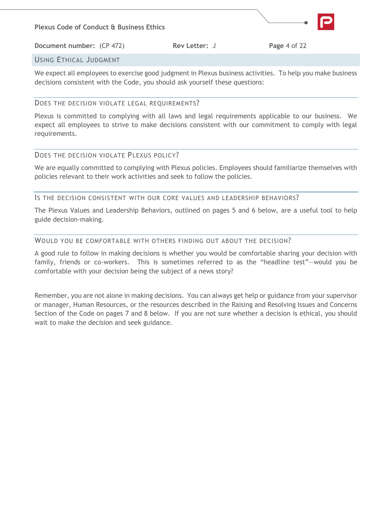

**Document number:** (CP 472) **Rev Letter:** J **Page 4 of 22** 

# USING ETHICAL JUDGMENT

We expect all employees to exercise good judgment in Plexus business activities. To help you make business decisions consistent with the Code, you should ask yourself these questions:

# DOES THE DECISION VIOLATE LEGAL REQUIREMENTS?

Plexus is committed to complying with all laws and legal requirements applicable to our business. We expect all employees to strive to make decisions consistent with our commitment to comply with legal requirements.

# DOES THE DECISION VIOLATE PLEXUS POLICY?

We are equally committed to complying with Plexus policies. Employees should familiarize themselves with policies relevant to their work activities and seek to follow the policies.

## IS THE DECISION CONSISTENT WITH OUR CORE VALUES AND LEADERSHIP BEHAVIORS?

The Plexus Values and Leadership Behaviors, outlined on pages 5 and 6 below, are a useful tool to help guide decision-making.

## WOULD YOU BE COMFORTABLE WITH OTHERS FINDING OUT ABOUT THE DECISION?

A good rule to follow in making decisions is whether you would be comfortable sharing your decision with family, friends or co-workers. This is sometimes referred to as the "headline test"—would you be comfortable with your decision being the subject of a news story?

Remember, you are not alone in making decisions. You can always get help or guidance from your supervisor or manager, Human Resources, or the resources described in the Raising and Resolving Issues and Concerns Section of the Code on pages 7 and 8 below. If you are not sure whether a decision is ethical, you should wait to make the decision and seek guidance.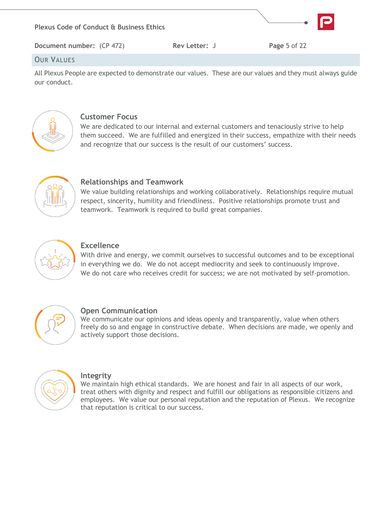

## **OUR VALUES**

All Plexus People are expected to demonstrate our values. These are our values and they must always guide our conduct.



# **Customer Focus**

<span id="page-5-0"></span>We are dedicated to our internal and external customers and tenaciously strive to help them succeed. We are fulfilled and energized in their success, empathize with their needs and recognize that our success is the result of our customers' success.



# **Relationships and Teamwork**

We value building relationships and working collaboratively. Relationships require mutual respect, sincerity, humility and friendliness. Positive relationships promote trust and teamwork. Teamwork is required to build great companies.



# **Excellence**

With drive and energy, we commit ourselves to successful outcomes and to be exceptional in everything we do. We do not accept mediocrity and seek to continuously improve. We do not care who receives credit for success; we are not motivated by self-promotion.



# **Open Communication**

We communicate our opinions and ideas openly and transparently, value when others freely do so and engage in constructive debate. When decisions are made, we openly and actively support those decisions.



# **Integrity**

We maintain high ethical standards. We are honest and fair in all aspects of our work, treat others with dignity and respect and fulfill our obligations as responsible citizens and employees. We value our personal reputation and the reputation of Plexus. We recognize that reputation is critical to our success.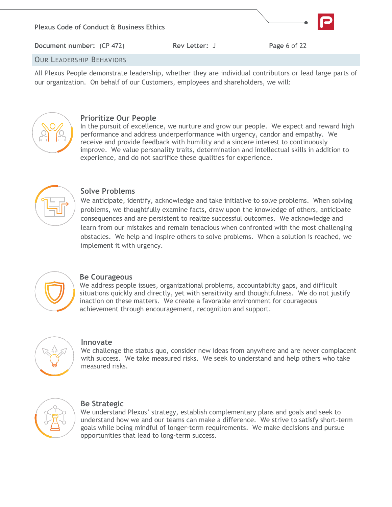

All Plexus People demonstrate leadership, whether they are individual contributors or lead large parts of our organization. On behalf of our Customers, employees and shareholders, we will:



# **Prioritize Our People**

<span id="page-6-0"></span>In the pursuit of excellence, we nurture and grow our people. We expect and reward high performance and address underperformance with urgency, candor and empathy. We receive and provide feedback with humility and a sincere interest to continuously improve. We value personality traits, determination and intellectual skills in addition to experience, and do not sacrifice these qualities for experience.



# **Solve Problems**

We anticipate, identify, acknowledge and take initiative to solve problems. When solving problems, we thoughtfully examine facts, draw upon the knowledge of others, anticipate consequences and are persistent to realize successful outcomes. We acknowledge and learn from our mistakes and remain tenacious when confronted with the most challenging obstacles. We help and inspire others to solve problems. When a solution is reached, we implement it with urgency.



# **Be Courageous**

We address people issues, organizational problems, accountability gaps, and difficult situations quickly and directly, yet with sensitivity and thoughtfulness. We do not justify inaction on these matters. We create a favorable environment for courageous achievement through encouragement, recognition and support.



### **Innovate**

We challenge the status quo, consider new ideas from anywhere and are never complacent with success. We take measured risks. We seek to understand and help others who take measured risks.



# **Be Strategic**

We understand Plexus' strategy, establish complementary plans and goals and seek to understand how we and our teams can make a difference. We strive to satisfy short-term goals while being mindful of longer-term requirements. We make decisions and pursue opportunities that lead to long-term success.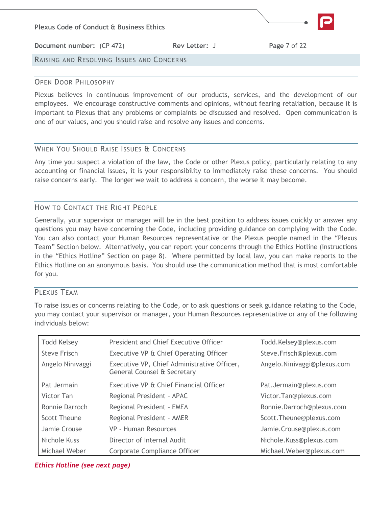

## <span id="page-7-0"></span>OPEN DOOR PHILOSOPHY

Plexus believes in continuous improvement of our products, services, and the development of our employees. We encourage constructive comments and opinions, without fearing retaliation, because it is important to Plexus that any problems or complaints be discussed and resolved. Open communication is one of our values, and you should raise and resolve any issues and concerns.

# <span id="page-7-1"></span>WHEN YOU SHOULD RAISE ISSUES & CONCERNS

Any time you suspect a violation of the law, the Code or other Plexus policy, particularly relating to any accounting or financial issues, it is your responsibility to immediately raise these concerns. You should raise concerns early. The longer we wait to address a concern, the worse it may become.

## <span id="page-7-2"></span>HOW TO CONTACT THE RIGHT PEOPLE

Generally, your supervisor or manager will be in the best position to address issues quickly or answer any questions you may have concerning the Code, including providing guidance on complying with the Code. You can also contact your Human Resources representative or the Plexus people named in the "Plexus Team" Section below. Alternatively, you can report your concerns through the Ethics Hotline (instructions in the "Ethics Hotline" Section on page 8). Where permitted by local law, you can make reports to the Ethics Hotline on an anonymous basis. You should use the communication method that is most comfortable for you.

## <span id="page-7-3"></span>PLEXUS TEAM

To raise issues or concerns relating to the Code, or to ask questions or seek guidance relating to the Code, you may contact your supervisor or manager, your Human Resources representative or any of the following individuals below:

| <b>Todd Kelsey</b> | President and Chief Executive Officer                                      | Todd.Kelsey@plexus.com      |
|--------------------|----------------------------------------------------------------------------|-----------------------------|
| Steve Frisch       | Executive VP & Chief Operating Officer                                     | Steve.Frisch@plexus.com     |
| Angelo Ninivaggi   | Executive VP, Chief Administrative Officer,<br>General Counsel & Secretary | Angelo.Ninivaggi@plexus.com |
| Pat Jermain        | Executive VP & Chief Financial Officer                                     | Pat.Jermain@plexus.com      |
| Victor Tan         | Regional President - APAC                                                  | Victor.Tan@plexus.com       |
| Ronnie Darroch     | Regional President - EMEA                                                  | Ronnie.Darroch@plexus.com   |
| Scott Theune       | Regional President - AMER                                                  | Scott.Theune@plexus.com     |
| Jamie Crouse       | VP - Human Resources                                                       | Jamie.Crouse@plexus.com     |
| Nichole Kuss       | Director of Internal Audit                                                 | Nichole.Kuss@plexus.com     |
| Michael Weber      | Corporate Compliance Officer                                               | Michael.Weber@plexus.com    |

### <span id="page-7-4"></span>*Ethics Hotline (see next page)*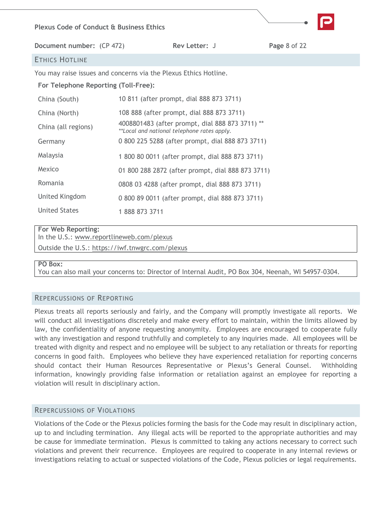#### **Plexus Code of Conduct & Business Ethics**

**Document number:** (CP 472) **Rev Letter:** J **Page** 8 of 22

## ETHICS HOTLINE

You may raise issues and concerns via the Plexus Ethics Hotline.

#### **For Telephone Reporting (Toll-Free):**

| China (South)        | 10 811 (after prompt, dial 888 873 3711)                                                       |  |
|----------------------|------------------------------------------------------------------------------------------------|--|
| China (North)        | 108 888 (after prompt, dial 888 873 3711)                                                      |  |
| China (all regions)  | 4008801483 (after prompt, dial 888 873 3711) **<br>**Local and national telephone rates apply. |  |
| Germany              | 0 800 225 5288 (after prompt, dial 888 873 3711)                                               |  |
| Malaysia             | 1 800 80 0011 (after prompt, dial 888 873 3711)                                                |  |
| Mexico               | 01 800 288 2872 (after prompt, dial 888 873 3711)                                              |  |
| Romania              | 0808 03 4288 (after prompt, dial 888 873 3711)                                                 |  |
| United Kingdom       | 0 800 89 0011 (after prompt, dial 888 873 3711)                                                |  |
| <b>United States</b> | 18888733711                                                                                    |  |

#### **For Web Reporting:**

In the U.S.: [www.reportlineweb.com/plexus](http://www.reportlineweb.com/plexus)

Outside the U.S.:<https://iwf.tnwgrc.com/plexus>

#### **PO Box:**

<span id="page-8-0"></span>You can also mail your concerns to: Director of Internal Audit, PO Box 304, Neenah, WI 54957-0304.

### REPERCUSSIONS OF REPORTING

Plexus treats all reports seriously and fairly, and the Company will promptly investigate all reports. We will conduct all investigations discretely and make every effort to maintain, within the limits allowed by law, the confidentiality of anyone requesting anonymity. Employees are encouraged to cooperate fully with any investigation and respond truthfully and completely to any inquiries made. All employees will be treated with dignity and respect and no employee will be subject to any retaliation or threats for reporting concerns in good faith. Employees who believe they have experienced retaliation for reporting concerns should contact their Human Resources Representative or Plexus's General Counsel. Withholding information, knowingly providing false information or retaliation against an employee for reporting a violation will result in disciplinary action.

#### <span id="page-8-1"></span>REPERCUSSIONS OF VIOLATIONS

Violations of the Code or the Plexus policies forming the basis for the Code may result in disciplinary action, up to and including termination. Any illegal acts will be reported to the appropriate authorities and may be cause for immediate termination. Plexus is committed to taking any actions necessary to correct such violations and prevent their recurrence. Employees are required to cooperate in any internal reviews or investigations relating to actual or suspected violations of the Code, Plexus policies or legal requirements.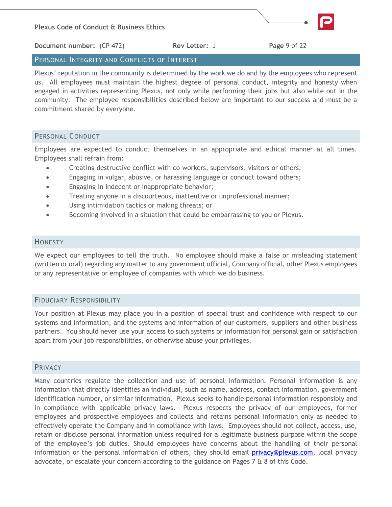

**Document number:** (CP 472) **Rev Letter:** J **Page** 9 of 22

# <span id="page-9-0"></span>PERSONAL INTEGRITY AND CONFLICTS OF INTEREST

Plexus' reputation in the community is determined by the work we do and by the employees who represent us. All employees must maintain the highest degree of personal conduct, integrity and honesty when engaged in activities representing Plexus, not only while performing their jobs but also while out in the community. The employee responsibilities described below are important to our success and must be a commitment shared by everyone.

## <span id="page-9-1"></span>PERSONAL CONDUCT

Employees are expected to conduct themselves in an appropriate and ethical manner at all times. Employees shall refrain from:

- Creating destructive conflict with co-workers, supervisors, visitors or others;
- Engaging in vulgar, abusive, or harassing language or conduct toward others;
- Engaging in indecent or inappropriate behavior;
- Treating anyone in a discourteous, inattentive or unprofessional manner;
- Using intimidation tactics or making threats; or
- Becoming involved in a situation that could be embarrassing to you or Plexus.

## <span id="page-9-2"></span>HONESTY

We expect our employees to tell the truth. No employee should make a false or misleading statement (written or oral) regarding any matter to any government official, Company official, other Plexus employees or any representative or employee of companies with which we do business.

## <span id="page-9-3"></span>FIDUCIARY RESPONSIBILITY

Your position at Plexus may place you in a position of special trust and confidence with respect to our systems and information, and the systems and information of our customers, suppliers and other business partners. You should never use your access to such systems or information for personal gain or satisfaction apart from your job responsibilities, or otherwise abuse your privileges.

### <span id="page-9-4"></span>PRIVACY

Many countries regulate the collection and use of personal information. Personal information is any information that directly identifies an individual, such as name, address, contact information, government identification number, or similar information. Plexus seeks to handle personal information responsibly and in compliance with applicable privacy laws. Plexus respects the privacy of our employees, former employees and prospective employees and collects and retains personal information only as needed to effectively operate the Company and in compliance with laws. Employees should not collect, access, use, retain or disclose personal information unless required for a legitimate business purpose within the scope of the employee's job duties. Should employees have concerns about the handling of their personal information or the personal information of others, they should email [privacy@plexus.com,](mailto:privacy@plexus.com) local privacy advocate, or escalate your concern according to the guidance on Pages 7 & 8 of this Code.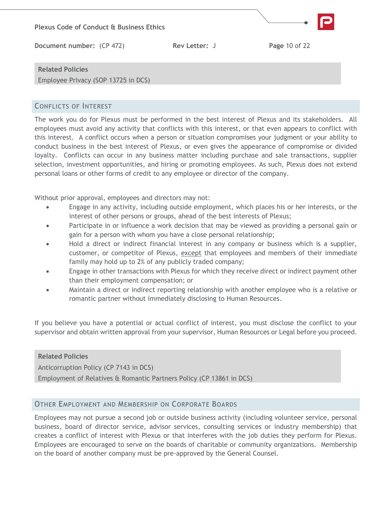

## <span id="page-10-0"></span>CONFLICTS OF INTEREST

The work you do for Plexus must be performed in the best interest of Plexus and its stakeholders. All employees must avoid any activity that conflicts with this interest, or that even appears to conflict with this interest. A conflict occurs when a person or situation compromises your judgment or your ability to conduct business in the best interest of Plexus, or even gives the appearance of compromise or divided loyalty. Conflicts can occur in any business matter including purchase and sale transactions, supplier selection, investment opportunities, and hiring or promoting employees. As such, Plexus does not extend personal loans or other forms of credit to any employee or director of the company.

Without prior approval, employees and directors may not:

- Engage in any activity, including outside employment, which places his or her interests, or the interest of other persons or groups, ahead of the best interests of Plexus;
- Participate in or influence a work decision that may be viewed as providing a personal gain or gain for a person with whom you have a close personal relationship;
- Hold a direct or indirect financial interest in any company or business which is a supplier, customer, or competitor of Plexus, except that employees and members of their immediate family may hold up to 2% of any publicly traded company;
- Engage in other transactions with Plexus for which they receive direct or indirect payment other than their employment compensation; or
- Maintain a direct or indirect reporting relationship with another employee who is a relative or romantic partner without immediately disclosing to Human Resources.

If you believe you have a potential or actual conflict of interest, you must disclose the conflict to your supervisor and obtain written approval from your supervisor, Human Resources or Legal before you proceed.

# **Related Policies** Anticorruption Policy (CP 7143 in DCS) Employment of Relatives & Romantic Partners Policy (CP 13861 in DCS)

### <span id="page-10-1"></span>OTHER EMPLOYMENT AND MEMBERSHIP ON CORPORATE BOARDS

Employees may not pursue a second job or outside business activity (including volunteer service, personal business, board of director service, advisor services, consulting services or industry membership) that creates a conflict of interest with Plexus or that interferes with the job duties they perform for Plexus. Employees are encouraged to serve on the boards of charitable or community organizations. Membership on the board of another company must be pre-approved by the General Counsel.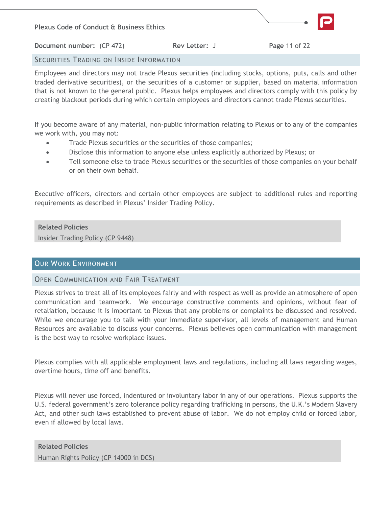

**Document number:** (CP 472) **Rev Letter:** J **Page 11 of 22** 

# <span id="page-11-0"></span>SECURITIES TRADING ON INSIDE INFORMATION

Employees and directors may not trade Plexus securities (including stocks, options, puts, calls and other traded derivative securities), or the securities of a customer or supplier, based on material information that is not known to the general public. Plexus helps employees and directors comply with this policy by creating blackout periods during which certain employees and directors cannot trade Plexus securities.

If you become aware of any material, non-public information relating to Plexus or to any of the companies we work with, you may not:

- Trade Plexus securities or the securities of those companies;
- Disclose this information to anyone else unless explicitly authorized by Plexus; or
- Tell someone else to trade Plexus securities or the securities of those companies on your behalf or on their own behalf.

Executive officers, directors and certain other employees are subject to additional rules and reporting requirements as described in Plexus' Insider Trading Policy.

## **Related Policies**

<span id="page-11-1"></span>Insider Trading Policy (CP 9448)

# OUR WORK ENVIRONMENT

### <span id="page-11-2"></span>OPEN COMMUNICATION AND FAIR TREATMENT

Plexus strives to treat all of its employees fairly and with respect as well as provide an atmosphere of open communication and teamwork. We encourage constructive comments and opinions, without fear of retaliation, because it is important to Plexus that any problems or complaints be discussed and resolved. While we encourage you to talk with your immediate supervisor, all levels of management and Human Resources are available to discuss your concerns. Plexus believes open communication with management is the best way to resolve workplace issues.

Plexus complies with all applicable employment laws and regulations, including all laws regarding wages, overtime hours, time off and benefits.

Plexus will never use forced, indentured or involuntary labor in any of our operations. Plexus supports the U.S. federal government's zero tolerance policy regarding trafficking in persons, the U.K.'s Modern Slavery Act, and other such laws established to prevent abuse of labor. We do not employ child or forced labor, even if allowed by local laws.

**Related Policies** Human Rights Policy (CP 14000 in DCS)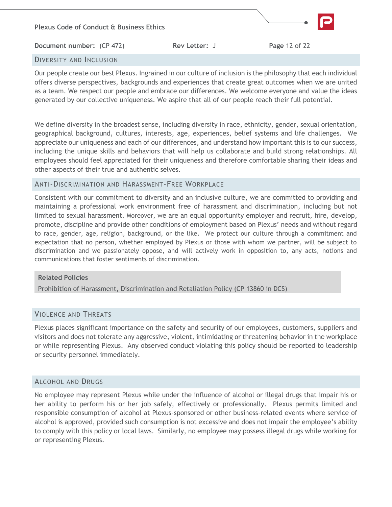

## <span id="page-12-0"></span>DIVERSITY AND INCLUSION

Our people create our best Plexus. Ingrained in our culture of inclusion is the philosophy that each individual offers diverse perspectives, backgrounds and experiences that create great outcomes when we are united as a team. We respect our people and embrace our differences. We welcome everyone and value the ideas generated by our collective uniqueness. We aspire that all of our people reach their full potential.

We define diversity in the broadest sense, including diversity in race, ethnicity, gender, sexual orientation, geographical background, cultures, interests, age, experiences, belief systems and life challenges. We appreciate our uniqueness and each of our differences, and understand how important this is to our success, including the unique skills and behaviors that will help us collaborate and build strong relationships. All employees should feel appreciated for their uniqueness and therefore comfortable sharing their ideas and other aspects of their true and authentic selves.

### <span id="page-12-1"></span>ANTI-DISCRIMINATION AND HARASSMENT-FREE WORKPLACE

Consistent with our commitment to diversity and an inclusive culture, we are committed to providing and maintaining a professional work environment free of harassment and discrimination, including but not limited to sexual harassment. Moreover, we are an equal opportunity employer and recruit, hire, develop, promote, discipline and provide other conditions of employment based on Plexus' needs and without regard to race, gender, age, religion, background, or the like. We protect our culture through a commitment and expectation that no person, whether employed by Plexus or those with whom we partner, will be subject to discrimination and we passionately oppose, and will actively work in opposition to, any acts, notions and communications that foster sentiments of discrimination.

#### **Related Policies**

Prohibition of Harassment, Discrimination and Retaliation Policy (CP 13860 in DCS)

### <span id="page-12-2"></span>VIOLENCE AND THREATS

Plexus places significant importance on the safety and security of our employees, customers, suppliers and visitors and does not tolerate any aggressive, violent, intimidating or threatening behavior in the workplace or while representing Plexus. Any observed conduct violating this policy should be reported to leadership or security personnel immediately.

### <span id="page-12-3"></span>ALCOHOL AND DRUGS

<span id="page-12-4"></span>No employee may represent Plexus while under the influence of alcohol or illegal drugs that impair his or her ability to perform his or her job safely, effectively or professionally. Plexus permits limited and responsible consumption of alcohol at Plexus-sponsored or other business-related events where service of alcohol is approved, provided such consumption is not excessive and does not impair the employee's ability to comply with this policy or local laws. Similarly, no employee may possess illegal drugs while working for or representing Plexus.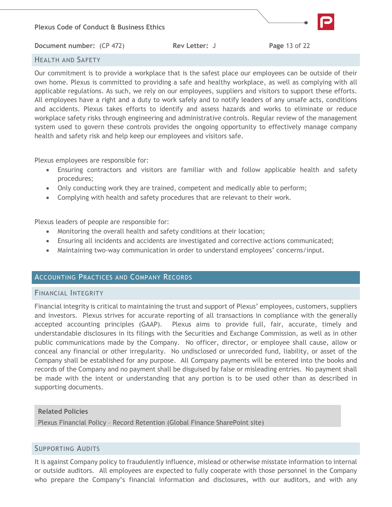## HEALTH AND SAFETY

Our commitment is to provide a workplace that is the safest place our employees can be outside of their own home. Plexus is committed to providing a safe and healthy workplace, as well as complying with all applicable regulations. As such, we rely on our employees, suppliers and visitors to support these efforts. All employees have a right and a duty to work safely and to notify leaders of any unsafe acts, conditions and accidents. Plexus takes efforts to identify and assess hazards and works to eliminate or reduce workplace safety risks through engineering and administrative controls. Regular review of the management system used to govern these controls provides the ongoing opportunity to effectively manage company health and safety risk and help keep our employees and visitors safe.

Plexus employees are responsible for:

- Ensuring contractors and visitors are familiar with and follow applicable health and safety procedures;
- Only conducting work they are trained, competent and medically able to perform;
- Complying with health and safety procedures that are relevant to their work.

Plexus leaders of people are responsible for:

- Monitoring the overall health and safety conditions at their location;
- Ensuring all incidents and accidents are investigated and corrective actions communicated;
- Maintaining two-way communication in order to understand employees' concerns/input.

### <span id="page-13-0"></span>ACCOUNTING PRACTICES AND COMPANY RECORDS

### <span id="page-13-1"></span>FINANCIAL INTEGRITY

Financial integrity is critical to maintaining the trust and support of Plexus' employees, customers, suppliers and investors. Plexus strives for accurate reporting of all transactions in compliance with the generally accepted accounting principles (GAAP). Plexus aims to provide full, fair, accurate, timely and understandable disclosures in its filings with the Securities and Exchange Commission, as well as in other public communications made by the Company. No officer, director, or employee shall cause, allow or conceal any financial or other irregularity. No undisclosed or unrecorded fund, liability, or asset of the Company shall be established for any purpose. All Company payments will be entered into the books and records of the Company and no payment shall be disguised by false or misleading entries. No payment shall be made with the intent or understanding that any portion is to be used other than as described in supporting documents.

### **Related Policies**

Plexus Financial Policy – Record Retention (Global Finance SharePoint site)

### <span id="page-13-2"></span>SUPPORTING AUDITS

It is against Company policy to fraudulently influence, mislead or otherwise misstate information to internal or outside auditors. All employees are expected to fully cooperate with those personnel in the Company who prepare the Company's financial information and disclosures, with our auditors, and with any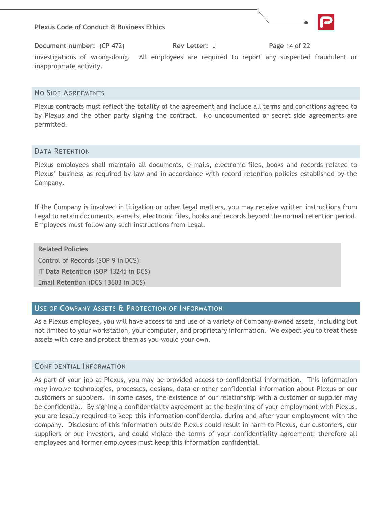

#### <span id="page-14-0"></span>NO SIDE AGREEMENTS

Plexus contracts must reflect the totality of the agreement and include all terms and conditions agreed to by Plexus and the other party signing the contract. No undocumented or secret side agreements are permitted.

#### <span id="page-14-1"></span>DATA RETENTION

Plexus employees shall maintain all documents, e-mails, electronic files, books and records related to Plexus' business as required by law and in accordance with record retention policies established by the Company.

If the Company is involved in litigation or other legal matters, you may receive written instructions from Legal to retain documents, e-mails, electronic files, books and records beyond the normal retention period. Employees must follow any such instructions from Legal.

**Related Policies** Control of Records (SOP 9 in DCS) IT Data Retention (SOP 13245 in DCS) Email Retention (DCS 13603 in DCS)

### <span id="page-14-2"></span>USE OF COMPANY ASSETS & PROTECTION OF INFORMATION

As a Plexus employee, you will have access to and use of a variety of Company-owned assets, including but not limited to your workstation, your computer, and proprietary information. We expect you to treat these assets with care and protect them as you would your own.

#### <span id="page-14-3"></span>CONFIDENTIAL INFORMATION

As part of your job at Plexus, you may be provided access to confidential information. This information may involve technologies, processes, designs, data or other confidential information about Plexus or our customers or suppliers. In some cases, the existence of our relationship with a customer or supplier may be confidential. By signing a confidentiality agreement at the beginning of your employment with Plexus, you are legally required to keep this information confidential during and after your employment with the company. Disclosure of this information outside Plexus could result in harm to Plexus, our customers, our suppliers or our investors, and could violate the terms of your confidentiality agreement; therefore all employees and former employees must keep this information confidential.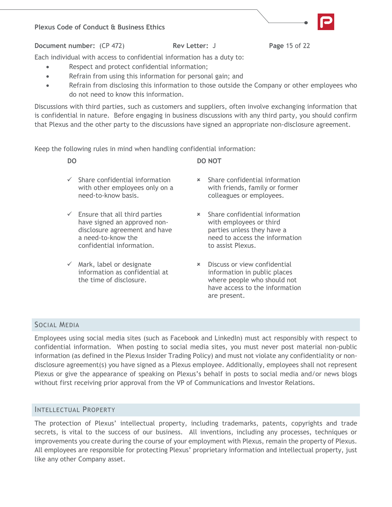#### **Plexus Code of Conduct & Business Ethics**



**Document number:** (CP 472) **Rev Letter:** J **Page** 15 of 22

Each individual with access to confidential information has a duty to:

- Respect and protect confidential information;
- Refrain from using this information for personal gain; and
- Refrain from disclosing this information to those outside the Company or other employees who do not need to know this information.

Discussions with third parties, such as customers and suppliers, often involve exchanging information that is confidential in nature. Before engaging in business discussions with any third party, you should confirm that Plexus and the other party to the discussions have signed an appropriate non-disclosure agreement.

Keep the following rules in mind when handling confidential information:

| DO.                                                                           | DO NOT                                                           |
|-------------------------------------------------------------------------------|------------------------------------------------------------------|
| $\checkmark$ Share confidential information<br>with other employees only on a | <b>*</b> Share confidential inform<br>with friends, family or fo |

 $\checkmark$  Ensure that all third parties have signed an approved nondisclosure agreement and have a need-to-know the confidential information.

need-to-know basis.

 $\checkmark$  Mark, label or designate information as confidential at the time of disclosure.

- nation ormer colleagues or employees.
- Share confidential information with employees or third parties unless they have a need to access the information to assist Plexus.
- Discuss or view confidential information in public places where people who should not have access to the information are present.

# <span id="page-15-0"></span>SOCIAL MEDIA

Employees using social media sites (such as Facebook and LinkedIn) must act responsibly with respect to confidential information. When posting to social media sites, you must never post material non-public information (as defined in the Plexus Insider Trading Policy) and must not violate any confidentiality or nondisclosure agreement(s) you have signed as a Plexus employee. Additionally, employees shall not represent Plexus or give the appearance of speaking on Plexus's behalf in posts to social media and/or news blogs without first receiving prior approval from the VP of Communications and Investor Relations.

### <span id="page-15-1"></span>INTELLECTUAL PROPERTY

The protection of Plexus' intellectual property, including trademarks, patents, copyrights and trade secrets, is vital to the success of our business. All inventions, including any processes, techniques or improvements you create during the course of your employment with Plexus, remain the property of Plexus. All employees are responsible for protecting Plexus' proprietary information and intellectual property, just like any other Company asset.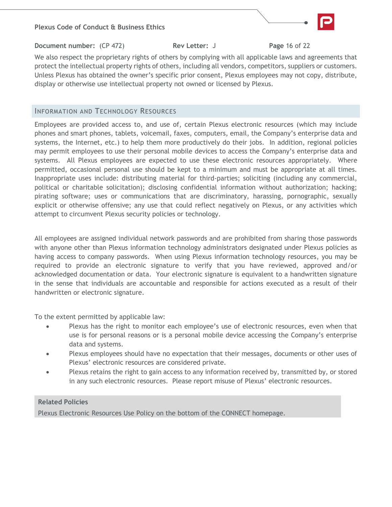#### **Plexus Code of Conduct & Business Ethics**



**Document number:** (CP 472) **Rev Letter:** J **Page** 16 of 22

We also respect the proprietary rights of others by complying with all applicable laws and agreements that protect the intellectual property rights of others, including all vendors, competitors, suppliers or customers. Unless Plexus has obtained the owner's specific prior consent, Plexus employees may not copy, distribute, display or otherwise use intellectual property not owned or licensed by Plexus.

## <span id="page-16-0"></span>INFORMATION AND TECHNOLOGY RESOURCES

Employees are provided access to, and use of, certain Plexus electronic resources (which may include phones and smart phones, tablets, voicemail, faxes, computers, email, the Company's enterprise data and systems, the Internet, etc.) to help them more productively do their jobs. In addition, regional policies may permit employees to use their personal mobile devices to access the Company's enterprise data and systems. All Plexus employees are expected to use these electronic resources appropriately. Where permitted, occasional personal use should be kept to a minimum and must be appropriate at all times. Inappropriate uses include: distributing material for third-parties; soliciting (including any commercial, political or charitable solicitation); disclosing confidential information without authorization; hacking; pirating software; uses or communications that are discriminatory, harassing, pornographic, sexually explicit or otherwise offensive; any use that could reflect negatively on Plexus, or any activities which attempt to circumvent Plexus security policies or technology.

All employees are assigned individual network passwords and are prohibited from sharing those passwords with anyone other than Plexus information technology administrators designated under Plexus policies as having access to company passwords. When using Plexus information technology resources, you may be required to provide an electronic signature to verify that you have reviewed, approved and/or acknowledged documentation or data. Your electronic signature is equivalent to a handwritten signature in the sense that individuals are accountable and responsible for actions executed as a result of their handwritten or electronic signature.

To the extent permitted by applicable law:

- Plexus has the right to monitor each employee's use of electronic resources, even when that use is for personal reasons or is a personal mobile device accessing the Company's enterprise data and systems.
- Plexus employees should have no expectation that their messages, documents or other uses of Plexus' electronic resources are considered private.
- Plexus retains the right to gain access to any information received by, transmitted by, or stored in any such electronic resources. Please report misuse of Plexus' electronic resources.

### **Related Policies**

<span id="page-16-1"></span>Plexus Electronic Resources Use Policy on the bottom of the CONNECT homepage.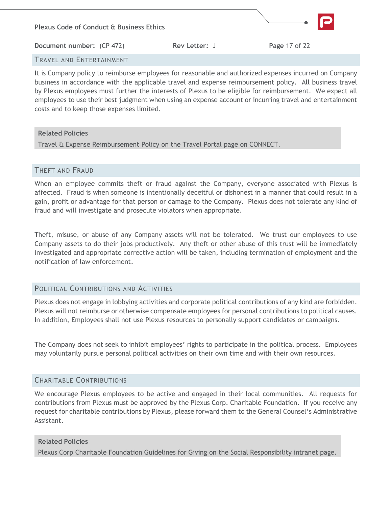

## TRAVEL AND ENTERTAINMENT

It is Company policy to reimburse employees for reasonable and authorized expenses incurred on Company business in accordance with the applicable travel and expense reimbursement policy. All business travel by Plexus employees must further the interests of Plexus to be eligible for reimbursement. We expect all employees to use their best judgment when using an expense account or incurring travel and entertainment costs and to keep those expenses limited.

### **Related Policies**

Travel & Expense Reimbursement Policy on the Travel Portal page on CONNECT.

### <span id="page-17-0"></span>THEFT AND FRAUD

When an employee commits theft or fraud against the Company, everyone associated with Plexus is affected. Fraud is when someone is intentionally deceitful or dishonest in a manner that could result in a gain, profit or advantage for that person or damage to the Company. Plexus does not tolerate any kind of fraud and will investigate and prosecute violators when appropriate.

Theft, misuse, or abuse of any Company assets will not be tolerated. We trust our employees to use Company assets to do their jobs productively. Any theft or other abuse of this trust will be immediately investigated and appropriate corrective action will be taken, including termination of employment and the notification of law enforcement.

### <span id="page-17-1"></span>POLITICAL CONTRIBUTIONS AND ACTIVITIES

Plexus does not engage in lobbying activities and corporate political contributions of any kind are forbidden. Plexus will not reimburse or otherwise compensate employees for personal contributions to political causes. In addition, Employees shall not use Plexus resources to personally support candidates or campaigns.

The Company does not seek to inhibit employees' rights to participate in the political process. Employees may voluntarily pursue personal political activities on their own time and with their own resources.

# <span id="page-17-2"></span>CHARITABLE CONTRIBUTIONS

We encourage Plexus employees to be active and engaged in their local communities. All requests for contributions from Plexus must be approved by the Plexus Corp. Charitable Foundation. If you receive any request for charitable contributions by Plexus, please forward them to the General Counsel's Administrative Assistant.

### **Related Policies**

Plexus Corp Charitable Foundation Guidelines for Giving on the Social Responsibility intranet page.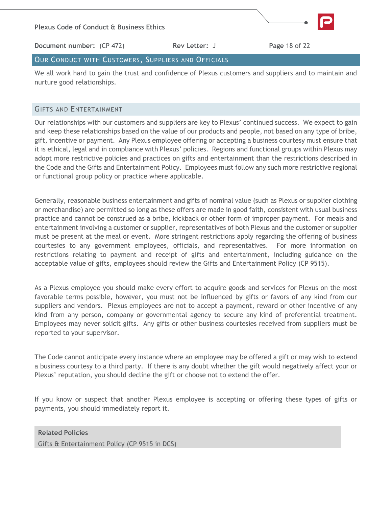

**Document number:** (CP 472) **Rev Letter:** J **Page** 18 of 22

## <span id="page-18-0"></span>OUR CONDUCT WITH CUSTOMERS, SUPPLIERS AND OFFICIALS

We all work hard to gain the trust and confidence of Plexus customers and suppliers and to maintain and nurture good relationships.

#### <span id="page-18-1"></span>GIFTS AND ENTERTAINMENT

Our relationships with our customers and suppliers are key to Plexus' continued success. We expect to gain and keep these relationships based on the value of our products and people, not based on any type of bribe, gift, incentive or payment. Any Plexus employee offering or accepting a business courtesy must ensure that it is ethical, legal and in compliance with Plexus' policies. Regions and functional groups within Plexus may adopt more restrictive policies and practices on gifts and entertainment than the restrictions described in the Code and the Gifts and Entertainment Policy. Employees must follow any such more restrictive regional or functional group policy or practice where applicable.

Generally, reasonable business entertainment and gifts of nominal value (such as Plexus or supplier clothing or merchandise) are permitted so long as these offers are made in good faith, consistent with usual business practice and cannot be construed as a bribe, kickback or other form of improper payment. For meals and entertainment involving a customer or supplier, representatives of both Plexus and the customer or supplier must be present at the meal or event. More stringent restrictions apply regarding the offering of business courtesies to any government employees, officials, and representatives. For more information on restrictions relating to payment and receipt of gifts and entertainment, including guidance on the acceptable value of gifts, employees should review the Gifts and Entertainment Policy (CP 9515).

As a Plexus employee you should make every effort to acquire goods and services for Plexus on the most favorable terms possible, however, you must not be influenced by gifts or favors of any kind from our suppliers and vendors. Plexus employees are not to accept a payment, reward or other incentive of any kind from any person, company or governmental agency to secure any kind of preferential treatment. Employees may never solicit gifts. Any gifts or other business courtesies received from suppliers must be reported to your supervisor.

The Code cannot anticipate every instance where an employee may be offered a gift or may wish to extend a business courtesy to a third party. If there is any doubt whether the gift would negatively affect your or Plexus' reputation, you should decline the gift or choose not to extend the offer.

If you know or suspect that another Plexus employee is accepting or offering these types of gifts or payments, you should immediately report it.

**Related Policies** Gifts & Entertainment Policy (CP 9515 in DCS)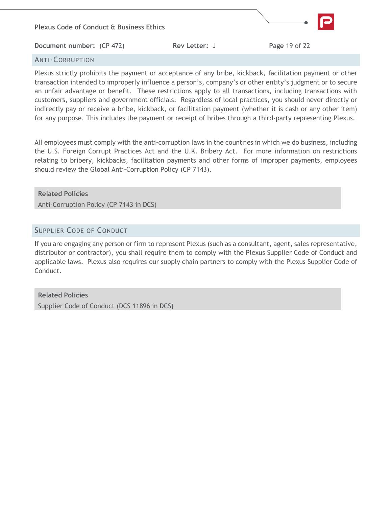

## <span id="page-19-0"></span>ANTI-CORRUPTION

Plexus strictly prohibits the payment or acceptance of any bribe, kickback, facilitation payment or other transaction intended to improperly influence a person's, company's or other entity's judgment or to secure an unfair advantage or benefit. These restrictions apply to all transactions, including transactions with customers, suppliers and government officials. Regardless of local practices, you should never directly or indirectly pay or receive a bribe, kickback, or facilitation payment (whether it is cash or any other item) for any purpose. This includes the payment or receipt of bribes through a third-party representing Plexus.

All employees must comply with the anti-corruption laws in the countries in which we do business, including the U.S. Foreign Corrupt Practices Act and the U.K. Bribery Act. For more information on restrictions relating to bribery, kickbacks, facilitation payments and other forms of improper payments, employees should review the Global Anti-Corruption Policy (CP 7143).

### **Related Policies**

Anti-Corruption Policy (CP 7143 in DCS)

## <span id="page-19-1"></span>SUPPLIER CODE OF CONDUCT

If you are engaging any person or firm to represent Plexus (such as a consultant, agent, sales representative, distributor or contractor), you shall require them to comply with the Plexus Supplier Code of Conduct and applicable laws. Plexus also requires our supply chain partners to comply with the Plexus Supplier Code of Conduct.

<span id="page-19-2"></span>**Related Policies** Supplier Code of Conduct (DCS 11896 in DCS)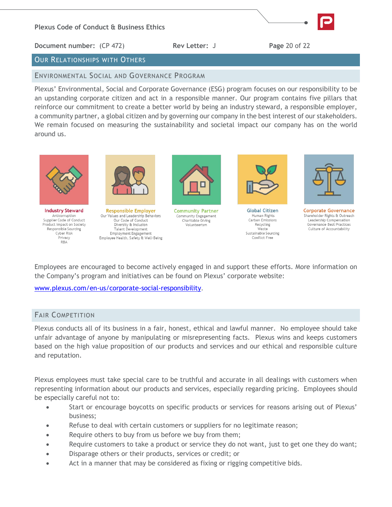

# OUR RELATIONSHIPS WITH OTHERS

<span id="page-20-0"></span>ENVIRONMENTAL SOCIAL AND GOVERNANCE PROGRAM

Plexus' Environmental, Social and Corporate Governance (ESG) program focuses on our responsibility to be an upstanding corporate citizen and act in a responsible manner. Our program contains five pillars that reinforce our commitment to create a better world by being an industry steward, a responsible employer, a community partner, a global citizen and by governing our company in the best interest of our stakeholders. We remain focused on measuring the sustainability and societal impact our company has on the world around us.



**Industry Steward** Anticorruption<br>Supplier Code of Conduct Product Impact on Society Responsible Sourcing Cyber Risk Privacy RBA



**Responsible Employer** Our Values and Leadership Behaviors Our Code of Conduct Diversity & Inclusion **Talent Development** Employment Engagement Employee Health, Safety & Well-Being



**Community Partner** Community Engagement Charitable Giving Volunteerism



**Global Citizen** Human Rights Carbon Emissions Recycling Waste Sustainable Sourcing Conflict Free



**Corporate Governance** Shareholder Rights & Outreach Leadership Compensation Governance Best Practices Culture of Accountability

Employees are encouraged to become actively engaged in and support these efforts. More information on the Company's program and initiatives can be found on Plexus' corporate website:

[www.plexus.com/en-us/corporate-social-responsibility](file://///neen-dsk-010/users24$/michael.weber/Ethics/Code%20of%20Conduct/Feb%202021%20Update%20Tracking/www.plexus.com/en-us/corporate-social-responsibility).

# <span id="page-20-1"></span>FAIR COMPETITION

Plexus conducts all of its business in a fair, honest, ethical and lawful manner. No employee should take unfair advantage of anyone by manipulating or misrepresenting facts. Plexus wins and keeps customers based on the high value proposition of our products and services and our ethical and responsible culture and reputation.

Plexus employees must take special care to be truthful and accurate in all dealings with customers when representing information about our products and services, especially regarding pricing. Employees should be especially careful not to:

- Start or encourage boycotts on specific products or services for reasons arising out of Plexus' business;
- Refuse to deal with certain customers or suppliers for no legitimate reason;
- Require others to buy from us before we buy from them;
- Require customers to take a product or service they do not want, just to get one they do want;
- Disparage others or their products, services or credit; or
- <span id="page-20-2"></span>Act in a manner that may be considered as fixing or rigging competitive bids.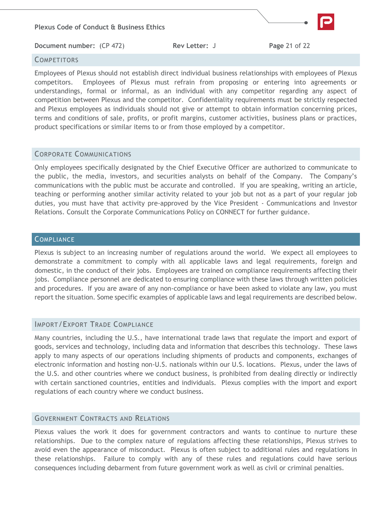#### **COMPETITORS**

Employees of Plexus should not establish direct individual business relationships with employees of Plexus competitors. Employees of Plexus must refrain from proposing or entering into agreements or understandings, formal or informal, as an individual with any competitor regarding any aspect of competition between Plexus and the competitor. Confidentiality requirements must be strictly respected and Plexus employees as individuals should not give or attempt to obtain information concerning prices, terms and conditions of sale, profits, or profit margins, customer activities, business plans or practices, product specifications or similar items to or from those employed by a competitor.

### <span id="page-21-0"></span>CORPORATE COMMUNICATIONS

Only employees specifically designated by the Chief Executive Officer are authorized to communicate to the public, the media, investors, and securities analysts on behalf of the Company. The Company's communications with the public must be accurate and controlled. If you are speaking, writing an article, teaching or performing another similar activity related to your job but not as a part of your regular job duties, you must have that activity pre-approved by the Vice President - Communications and Investor Relations. Consult the Corporate Communications Policy on CONNECT for further guidance.

### <span id="page-21-1"></span>**COMPLIANCE**

Plexus is subject to an increasing number of regulations around the world. We expect all employees to demonstrate a commitment to comply with all applicable laws and legal requirements, foreign and domestic, in the conduct of their jobs. Employees are trained on compliance requirements affecting their jobs. Compliance personnel are dedicated to ensuring compliance with these laws through written policies and procedures. If you are aware of any non-compliance or have been asked to violate any law, you must report the situation. Some specific examples of applicable laws and legal requirements are described below.

### <span id="page-21-2"></span>IMPORT/EXPORT TRADE COMPLIANCE

Many countries, including the U.S., have international trade laws that regulate the import and export of goods, services and technology, including data and information that describes this technology. These laws apply to many aspects of our operations including shipments of products and components, exchanges of electronic information and hosting non-U.S. nationals within our U.S. locations. Plexus, under the laws of the U.S. and other countries where we conduct business, is prohibited from dealing directly or indirectly with certain sanctioned countries, entities and individuals. Plexus complies with the import and export regulations of each country where we conduct business.

### <span id="page-21-3"></span>GOVERNMENT CONTRACTS AND RELATIONS

Plexus values the work it does for government contractors and wants to continue to nurture these relationships. Due to the complex nature of regulations affecting these relationships, Plexus strives to avoid even the appearance of misconduct. Plexus is often subject to additional rules and regulations in these relationships. Failure to comply with any of these rules and regulations could have serious consequences including debarment from future government work as well as civil or criminal penalties.